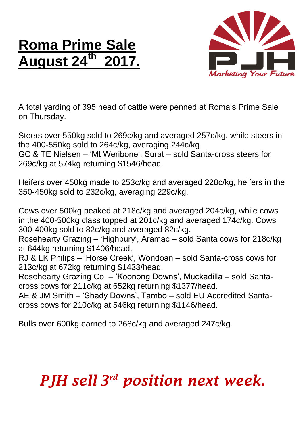## **Roma Prime Sale August 24 th 2017.**



A total yarding of 395 head of cattle were penned at Roma's Prime Sale on Thursday.

Steers over 550kg sold to 269c/kg and averaged 257c/kg, while steers in the 400-550kg sold to 264c/kg, averaging 244c/kg.

GC & TE Nielsen – 'Mt Weribone', Surat – sold Santa-cross steers for 269c/kg at 574kg returning \$1546/head.

Heifers over 450kg made to 253c/kg and averaged 228c/kg, heifers in the 350-450kg sold to 232c/kg, averaging 229c/kg.

Cows over 500kg peaked at 218c/kg and averaged 204c/kg, while cows in the 400-500kg class topped at 201c/kg and averaged 174c/kg. Cows 300-400kg sold to 82c/kg and averaged 82c/kg.

Rosehearty Grazing – 'Highbury', Aramac – sold Santa cows for 218c/kg at 644kg returning \$1406/head.

RJ & LK Philips – 'Horse Creek', Wondoan – sold Santa-cross cows for 213c/kg at 672kg returning \$1433/head.

Rosehearty Grazing Co. – 'Koonong Downs', Muckadilla – sold Santacross cows for 211c/kg at 652kg returning \$1377/head.

AE & JM Smith – 'Shady Downs', Tambo – sold EU Accredited Santacross cows for 210c/kg at 546kg returning \$1146/head.

Bulls over 600kg earned to 268c/kg and averaged 247c/kg.

## *PJH sell 3 rd position next week.*